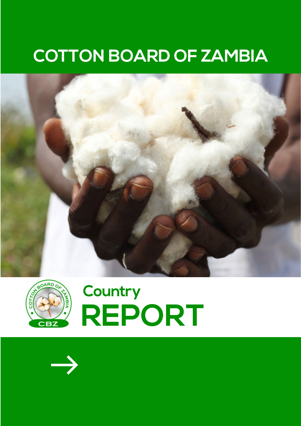### **COTTON BOARD OF ZAMBIA**





## **REPORT Country**

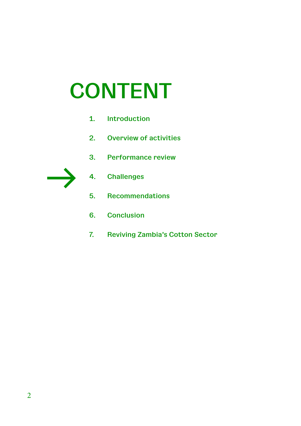## **CONTENT**

- **1. Introduction**
- **2. Overview of activities**
- **3. Performance review**



- **4. Challenges**
- **5. Recommendations**
- **6. Conclusion**
- **7. Reviving Zambia's Cotton Sector**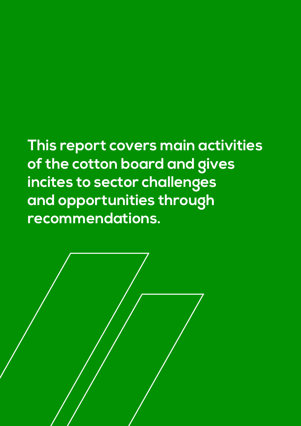**This report covers main activities of the cotton board and gives incites to sector challenges and opportunities through recommendations.**

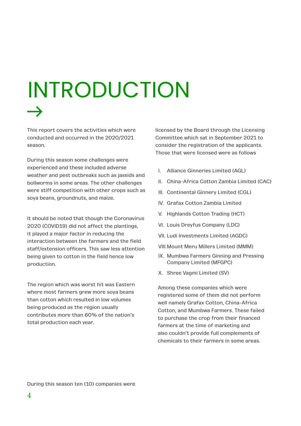## INTRODUCTION

This report covers the activities which were conducted and occurred in the 2020/2021 season.

During this season some challenges were experienced and these included adverse weather and pest outbreaks such as jassids and bollworms in some areas. The other challenges were stiff competition with other crops such as soya beans, groundnuts, and maize.

It should be noted that though the Coronavirus 2020 (COVID19) did not affect the plantings, it played a major factor in reducing the interaction between the farmers and the field staff/extension officers. This saw less attention being given to cotton in the field hence low production.

The region which was worst hit was Eastern where most farmers grew more soya beans than cotton which resulted in low volumes being produced as the region usually contributes more than 60% of the nation's total production each year.

licensed by the Board through the Licensing Committee which sat in September 2021 to consider the registration of the applicants. Those that were licensed were as follows

- I. Alliance Ginneries Limited (AGL)
- II. China-Africa Cotton Zambia Limited (CAC)
- III. Continental Ginnery Limited (CGL)
- IV. Grafax Cotton Zambia Limited
- V. Highlands Cotton Trading (HCT)
- VI. Louis Dreyfus Company (LDC)
- VII. Ludi Investments Limited (AGDC)
- VIII.Mount Meru Millers Limited (MMM)
- IX. Mumbwa Farmers Ginning and Pressing Company Limited (MFGPC)
- X. Shree Vagmi Limited (SV)

Among these companies which were registered some of them did not perform well namely Grafax Cotton, China-Africa Cotton, and Mumbwa Farmers. These failed to purchase the crop from their financed farmers at the time of marketing and also couldn't provide full complements of chemicals to their farmers in some areas.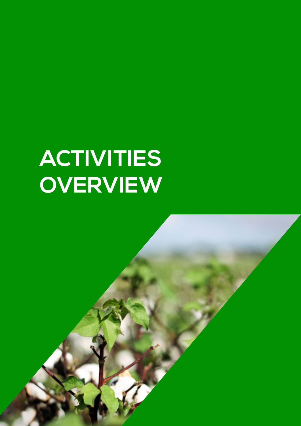## **ACTIVITIES OVERVIEW**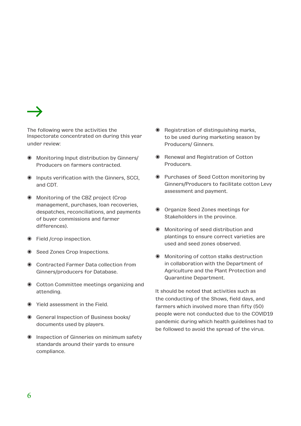

The following were the activities the Inspectorate concentrated on during this year under review:

- ◉ Monitoring Input distribution by Ginners/ Producers on farmers contracted.
- ◉ Inputs verification with the Ginners, SCCI, and CDT.
- ◉ Monitoring of the CBZ project (Crop management, purchases, loan recoveries, despatches, reconciliations, and payments of buyer commissions and farmer differences).
- ◉ Field /crop inspection.
- ◉ Seed Zones Crop Inspections.
- ◉ Contracted Farmer Data collection from Ginners/producers for Database.
- ◉ Cotton Committee meetings organizing and attending.
- ◉ Yield assessment in the Field.
- ◉ General Inspection of Business books/ documents used by players.
- ◉ Inspection of Ginneries on minimum safety standards around their yards to ensure compliance.
- ◉ Registration of distinguishing marks, to be used during marketing season by Producers/ Ginners.
- ◉ Renewal and Registration of Cotton Producers.
- ◉ Purchases of Seed Cotton monitoring by Ginners/Producers to facilitate cotton Levy assessment and payment.
- ◉ Organize Seed Zones meetings for Stakeholders in the province.
- ◉ Monitoring of seed distribution and plantings to ensure correct varieties are used and seed zones observed.
- ◉ Monitoring of cotton stalks destruction in collaboration with the Department of Agriculture and the Plant Protection and Quarantine Department.

It should be noted that activities such as the conducting of the Shows, field days, and farmers which involved more than fifty (50) people were not conducted due to the COVID19 pandemic during which health guidelines had to be followed to avoid the spread of the virus.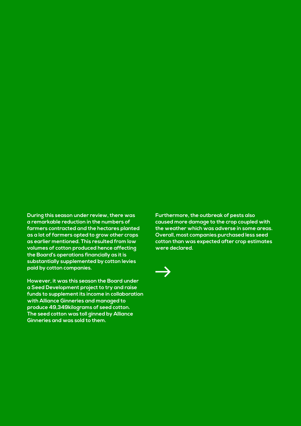**During this season under review, there was a remarkable reduction in the numbers of farmers contracted and the hectares planted as a lot of farmers opted to grow other crops as earlier mentioned. This resulted from low volumes of cotton produced hence affecting the Board's operations financially as it is substantially supplemented by cotton levies paid by cotton companies.** 

**However, it was this season the Board under a Seed Development project to try and raise funds to supplement its income in collaboration with Alliance Ginneries and managed to produce 49,349kilograms of seed cotton. The seed cotton was toll ginned by Alliance Ginneries and was sold to them.**

**Furthermore, the outbreak of pests also caused more damage to the crop coupled with the weather which was adverse in some areas. Overall, most companies purchased less seed cotton than was expected after crop estimates were declared.**

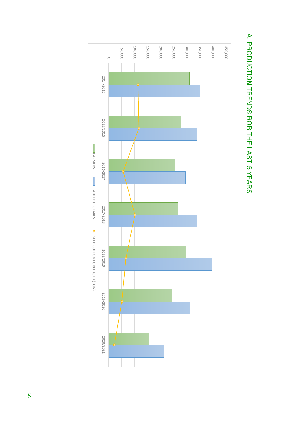

# A. PRODUCTION TRENDS ROR THE LAST 6 YEARS A. PRODUCTION TRENDS ROR THE LAST 6 YEARS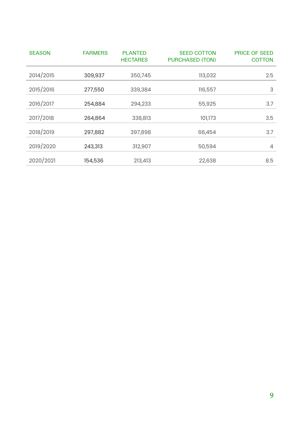| <b>SEASON</b> | <b>FARMERS</b> | <b>PLANTED</b><br><b>HECTARES</b> | <b>SEED COTTON</b><br><b>PURCHASED (TON)</b> | <b>PRICE OF SEED</b><br><b>COTTON</b> |
|---------------|----------------|-----------------------------------|----------------------------------------------|---------------------------------------|
| 2014/2015     | 309,937        | 350,745                           | 113,032                                      | 2.5                                   |
| 2015/2016     | 277,550        | 339,384                           | 116,557                                      | 3                                     |
| 2016/2017     | 254,884        | 294,233                           | 55,925                                       | 3.7                                   |
| 2017/2018     | 264,864        | 338,813                           | 101,173                                      | 3.5                                   |
| 2018/2019     | 297,882        | 397,898                           | 66,454                                       | 3.7                                   |
| 2019/2020     | 243,313        | 312,907                           | 50,594                                       | $\overline{4}$                        |
| 2020/2021     | 154,536        | 213,413                           | 22,638                                       | 8.5                                   |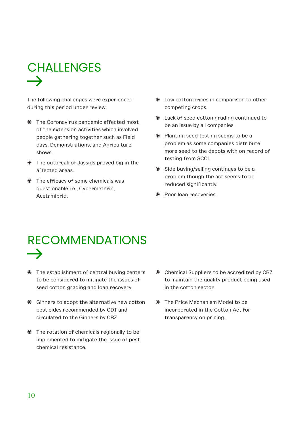## CHALLENGES

The following challenges were experienced during this period under review:

- ◉ The Coronavirus pandemic affected most of the extension activities which involved people gathering together such as Field days, Demonstrations, and Agriculture shows.
- ◉ The outbreak of Jassids proved big in the affected areas.
- ◉ The efficacy of some chemicals was questionable i.e., Cypermethrin, Acetamiprid.
- ◉ Low cotton prices in comparison to other competing crops.
- ◉ Lack of seed cotton grading continued to be an issue by all companies.
- ◉ Planting seed testing seems to be a problem as some companies distribute more seed to the depots with on record of testing from SCCI.
- ◉ Side buying/selling continues to be a problem though the act seems to be reduced significantly.
- ◉ Poor loan recoveries.

## RECOMMENDATIONS

- ◉ The establishment of central buying centers to be considered to mitigate the issues of seed cotton grading and loan recovery.
- ◉ Ginners to adopt the alternative new cotton pesticides recommended by CDT and circulated to the Ginners by CBZ.
- ◉ The rotation of chemicals regionally to be implemented to mitigate the issue of pest chemical resistance.
- ◉ Chemical Suppliers to be accredited by CBZ to maintain the quality product being used in the cotton sector
- ◉ The Price Mechanism Model to be incorporated in the Cotton Act for transparency on pricing.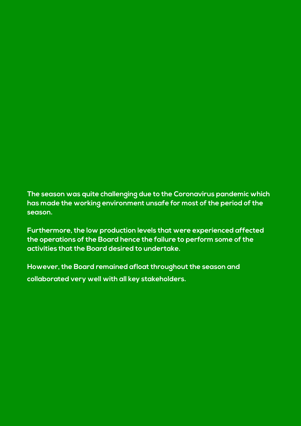#### **The season was quite challenging due to the Coronavirus pandemic which has made the working environment unsafe for most of the period of the season.**

**Furthermore, the low production levels that were experienced affected the operations of the Board hence the failure to perform some of the activities that the Board desired to undertake.** 

**However, the Board remained afloat throughout the season and collaborated very well with all key stakeholders.**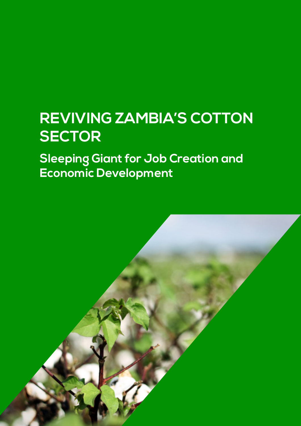#### **REVIVING ZAMBIA'S COTTON SECTOR**

**Sleeping Giant for Job Creation and Economic Development**

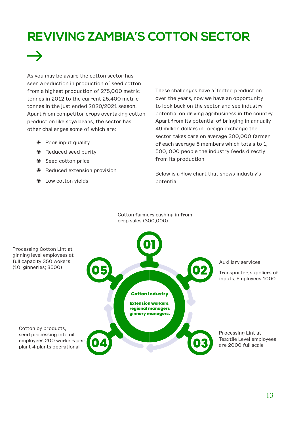#### **REVIVING ZAMBIA'S COTTON SECTOR**



As you may be aware the cotton sector has seen a reduction in production of seed cotton from a highest production of 275,000 metric tonnes in 2012 to the current 25,400 metric tonnes in the just ended 2020/2021 season. Apart from competitor crops overtaking cotton production like soya beans, the sector has other challenges some of which are:

- ◉ Poor input quality
- ◉ Reduced seed purity
- ◉ Seed cotton price
- ◉ Reduced extension provision
- ◉ Low cotton yields

These challenges have affected production over the years, now we have an opportunity to look back on the sector and see industry potential on driving agribusiness in the country. Apart from its potential of bringing in annually 49 million dollars in foreign exchange the sector takes care on average 300,000 farmer of each average 5 members which totals to 1, 500, 000 people the industry feeds directly from its production

Below is a flow chart that shows industry's potential

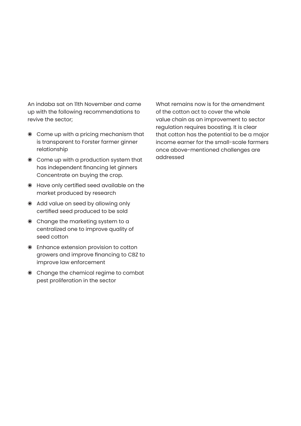An indaba sat on 11th November and came up with the following recommendations to revive the sector;

- ◉ Come up with a pricing mechanism that is transparent to Forster farmer ginner relationship
- ◉ Come up with a production system that has independent financing let ginners Concentrate on buying the crop.
- ◉ Have only certified seed available on the market produced by research
- ◉ Add value on seed by allowing only certified seed produced to be sold
- ◉ Change the marketing system to a centralized one to improve quality of seed cotton
- ◉ Enhance extension provision to cotton growers and improve financing to CBZ to improve law enforcement
- ◉ Change the chemical regime to combat pest proliferation in the sector

What remains now is for the amendment of the cotton act to cover the whole value chain as an improvement to sector regulation requires boosting. It is clear that cotton has the potential to be a major income earner for the small-scale farmers once above-mentioned challenges are addressed